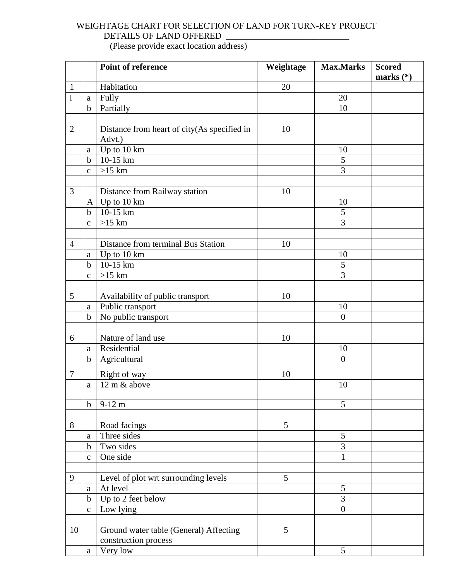## WEIGHTAGE CHART FOR SELECTION OF LAND FOR TURN-KEY PROJECT DETAILS OF LAND OFFERED \_\_\_\_\_\_\_\_\_\_\_\_\_\_\_\_\_\_\_\_\_\_\_\_\_\_\_\_

(Please provide exact location address)

|                |                  | <b>Point of reference</b>                   | Weightage | <b>Max.Marks</b> | <b>Scored</b><br>marks $(*)$ |
|----------------|------------------|---------------------------------------------|-----------|------------------|------------------------------|
| $\mathbf{1}$   |                  | Habitation                                  | 20        |                  |                              |
| $\mathbf{i}$   | a                | Fully                                       |           | 20               |                              |
|                | $\mathbf b$      | Partially                                   |           | 10               |                              |
|                |                  |                                             |           |                  |                              |
| $\overline{2}$ |                  | Distance from heart of city(As specified in | 10        |                  |                              |
|                |                  | Advt.)                                      |           |                  |                              |
|                | a                | Up to $10 \text{ km}$                       |           | 10               |                              |
|                | $\mathbf b$      | 10-15 km                                    |           | 5                |                              |
|                | $\mathbf{C}$     | $>15$ km                                    |           | $\overline{3}$   |                              |
|                |                  |                                             |           |                  |                              |
| 3              |                  | Distance from Railway station               | 10        |                  |                              |
|                | $\mathbf{A}$     | Up to 10 km                                 |           | 10               |                              |
|                | $\mathbf b$      | 10-15 km                                    |           | 5                |                              |
|                | $\mathbf{C}$     | $>15$ km                                    |           | 3                |                              |
|                |                  |                                             |           |                  |                              |
| $\overline{4}$ |                  | Distance from terminal Bus Station          | 10        |                  |                              |
|                | $\rm{a}$         | Up to 10 km                                 |           | 10               |                              |
|                | $\mathbf b$      | 10-15 km                                    |           | 5                |                              |
|                | $\mathbf{C}$     | $>15$ km                                    |           | 3                |                              |
|                |                  |                                             |           |                  |                              |
| 5              |                  | Availability of public transport            | 10        |                  |                              |
|                | $\mathbf{a}$     | Public transport                            |           | 10               |                              |
|                | $\mathbf b$      | No public transport                         |           | $\overline{0}$   |                              |
| 6              |                  | Nature of land use                          | 10        |                  |                              |
|                | a                | Residential                                 |           | 10               |                              |
|                | $\mathbf b$      | Agricultural                                |           | $\overline{0}$   |                              |
|                |                  |                                             |           |                  |                              |
| $\overline{7}$ |                  | Right of way                                | 10        |                  |                              |
|                | $\mathbf{a}$     | $12 \text{ m}$ & above                      |           | 10               |                              |
|                |                  |                                             |           | 5                |                              |
|                | $\mathbf b$      | $9-12 \text{ m}$                            |           |                  |                              |
| 8              |                  |                                             | 5         |                  |                              |
|                |                  | Road facings<br>Three sides                 |           | 5                |                              |
|                | a<br>$\mathbf b$ | Two sides                                   |           | 3                |                              |
|                | $\mathbf{C}$     | One side                                    |           | 1                |                              |
|                |                  |                                             |           |                  |                              |
| 9              |                  | Level of plot wrt surrounding levels        | 5         |                  |                              |
|                | $\rm{a}$         | At level                                    |           | 5                |                              |
|                | $\mathbf b$      | Up to 2 feet below                          |           | 3                |                              |
|                | $\mathbf{C}$     | Low lying                                   |           | $\overline{0}$   |                              |
|                |                  |                                             |           |                  |                              |
| 10             |                  | Ground water table (General) Affecting      | 5         |                  |                              |
|                |                  | construction process                        |           |                  |                              |
|                | a                | Very low                                    |           | 5                |                              |